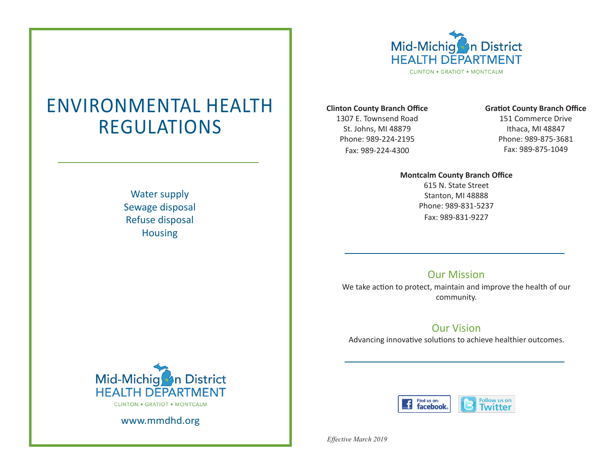

# ENVIRONMENTAL HEALTH REGULATIONS

Water supply Sewage disposal Refuse disposal Housing

#### **Clinton County Branch Office**

1307 E. Townsend Road St. Johns, MI 48879 Phone: 989-224-2195 Fax: 989-224-4300

# **Gratiot County Branch Office**

151 Commerce Drive Ithaca, MI 48847 Phone: 989-875-3681 Fax: 989-875-1049

# **Montcalm County Branch Office**

615 N. State Street Stanton, MI 48888 Phone: 989-831-5237 Fax: 989-831-9227

# Our Mission

We take action to protect, maintain and improve the health of our community.

# Our Vision

Advancing innovative solutions to achieve healthier outcomes.



Mid-Michig<sup>2</sup>n District **HEALTH DEPARTMENT CLINTON . GRATIOT . MONTCALM** 

www.mmdhd.org

*Effective March 2019*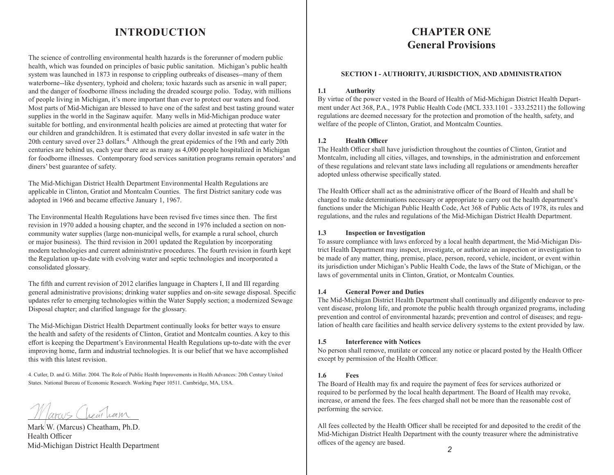# **INTRODUCTION**

The science of controlling environmental health hazards is the forerunner of modern public health, which was founded on principles of basic public sanitation. Michigan's public health system was launched in 1873 in response to crippling outbreaks of diseases--many of them waterborne--like dysentery, typhoid and cholera; toxic hazards such as arsenic in wall paper; and the danger of foodborne illness including the dreaded scourge polio. Today, with millions of people living in Michigan, it's more important than ever to protect our waters and food. Most parts of Mid-Michigan are blessed to have one of the safest and best tasting ground water supplies in the world in the Saginaw aquifer. Many wells in Mid-Michigan produce water suitable for bottling, and environmental health policies are aimed at protecting that water for our children and grandchildren. It is estimated that every dollar invested in safe water in the 20th century saved over 23 dollars.<sup>4</sup> Although the great epidemics of the 19th and early 20th centuries are behind us, each year there are as many as 4,000 people hospitalized in Michigan for foodborne illnesses. Contemporary food services sanitation programs remain operators' and diners' best guarantee of safety.

The Mid-Michigan District Health Department Environmental Health Regulations are applicable in Clinton, Gratiot and Montcalm Counties. The first District sanitary code was adopted in 1966 and became effective January 1, 1967.

The Environmental Health Regulations have been revised five times since then. The first revision in 1970 added a housing chapter, and the second in 1976 included a section on noncommunity water supplies (large non-municipal wells, for example a rural school, church or major business). The third revision in 2001 updated the Regulation by incorporating modern technologies and current administrative procedures. The fourth revision in fourth kept the Regulation up-to-date with evolving water and septic technologies and incorporated a consolidated glossary.

The fifth and current revision of 2012 clarifies language in Chapters I, II and III regarding general administrative provisions; drinking water supplies and on-site sewage disposal. Specific updates refer to emerging technologies within the Water Supply section; a modernized Sewage Disposal chapter; and clarified language for the glossary.

The Mid-Michigan District Health Department continually looks for better ways to ensure the health and safety of the residents of Clinton, Gratiot and Montcalm counties. A key to this effort is keeping the Department's Environmental Health Regulations up-to-date with the ever improving home, farm and industrial technologies. It is our belief that we have accomplished this with this latest revision.

4. Cutler, D. and G. Miller. 2004. The Role of Public Health Improvements in Health Advances: 20th Century United States. National Bureau of Economic Research. Working Paper 10511. Cambridge, MA, USA.

Parcus Chear herm

Mark W. (Marcus) Cheatham, Ph.D. Health Officer Mid-Michigan District Health Department

# **CHAPTER ONE General Provisions**

#### **SECTION I - AUTHORITY, JURISDICTION, AND ADMINISTRATION**

#### **1.1 Authority**

By virtue of the power vested in the Board of Health of Mid-Michigan District Health Department under Act 368, P.A., 1978 Public Health Code (MCL 333.1101 - 333.25211) the following regulations are deemed necessary for the protection and promotion of the health, safety, and welfare of the people of Clinton, Gratiot, and Montcalm Counties.

#### **1.2 Health Officer**

The Health Officer shall have jurisdiction throughout the counties of Clinton, Gratiot and Montcalm, including all cities, villages, and townships, in the administration and enforcement of these regulations and relevant state laws including all regulations or amendments hereafter adopted unless otherwise specifically stated.

The Health Officer shall act as the administrative officer of the Board of Health and shall be charged to make determinations necessary or appropriate to carry out the health department's functions under the Michigan Public Health Code, Act 368 of Public Acts of 1978, its rules and regulations, and the rules and regulations of the Mid-Michigan District Health Department.

#### **1.3 Inspection or Investigation**

To assure compliance with laws enforced by a local health department, the Mid-Michigan District Health Department may inspect, investigate, or authorize an inspection or investigation to be made of any matter, thing, premise, place, person, record, vehicle, incident, or event within its jurisdiction under Michigan's Public Health Code, the laws of the State of Michigan, or the laws of governmental units in Clinton, Gratiot, or Montcalm Counties.

#### **1.4 General Power and Duties**

The Mid-Michigan District Health Department shall continually and diligently endeavor to prevent disease, prolong life, and promote the public health through organized programs, including prevention and control of environmental hazards; prevention and control of diseases; and regulation of health care facilities and health service delivery systems to the extent provided by law.

#### **1.5 Interference with Notices**

No person shall remove, mutilate or conceal any notice or placard posted by the Health Officer except by permission of the Health Officer.

#### **1.6 Fees**

The Board of Health may fix and require the payment of fees for services authorized or required to be performed by the local health department. The Board of Health may revoke, increase, or amend the fees. The fees charged shall not be more than the reasonable cost of performing the service.

All fees collected by the Health Officer shall be receipted for and deposited to the credit of the Mid-Michigan District Health Department with the county treasurer where the administrative offices of the agency are based.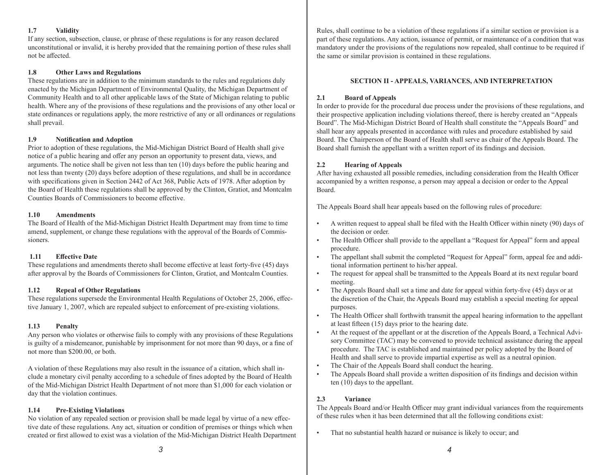#### **1.7 Validity**

If any section, subsection, clause, or phrase of these regulations is for any reason declared unconstitutional or invalid, it is hereby provided that the remaining portion of these rules shall not be affected.

#### **1.8 Other Laws and Regulations**

These regulations are in addition to the minimum standards to the rules and regulations duly enacted by the Michigan Department of Environmental Quality, the Michigan Department of Community Health and to all other applicable laws of the State of Michigan relating to public health. Where any of the provisions of these regulations and the provisions of any other local or state ordinances or regulations apply, the more restrictive of any or all ordinances or regulations shall prevail.

#### **1.9 Notification and Adoption**

Prior to adoption of these regulations, the Mid-Michigan District Board of Health shall give notice of a public hearing and offer any person an opportunity to present data, views, and arguments. The notice shall be given not less than ten (10) days before the public hearing and not less than twenty (20) days before adoption of these regulations, and shall be in accordance with specifications given in Section 2442 of Act 368, Public Acts of 1978. After adoption by the Board of Health these regulations shall be approved by the Clinton, Gratiot, and Montcalm Counties Boards of Commissioners to become effective.

#### **1.10 Amendments**

The Board of Health of the Mid-Michigan District Health Department may from time to time amend, supplement, or change these regulations with the approval of the Boards of Commissioners.

# **1.11 Effective Date**

These regulations and amendments thereto shall become effective at least forty-five (45) days after approval by the Boards of Commissioners for Clinton, Gratiot, and Montcalm Counties.

# **1.12 Repeal of Other Regulations**

These regulations supersede the Environmental Health Regulations of October 25, 2006, effective January 1, 2007, which are repealed subject to enforcement of pre-existing violations.

#### **1.13 Penalty**

Any person who violates or otherwise fails to comply with any provisions of these Regulations is guilty of a misdemeanor, punishable by imprisonment for not more than 90 days, or a fine of not more than \$200.00, or both.

A violation of these Regulations may also result in the issuance of a citation, which shall include a monetary civil penalty according to a schedule of fines adopted by the Board of Health of the Mid-Michigan District Health Department of not more than \$1,000 for each violation or day that the violation continues.

# **1.14 Pre-Existing Violations**

No violation of any repealed section or provision shall be made legal by virtue of a new effective date of these regulations. Any act, situation or condition of premises or things which when created or first allowed to exist was a violation of the Mid-Michigan District Health Department Rules, shall continue to be a violation of these regulations if a similar section or provision is a part of these regulations. Any action, issuance of permit, or maintenance of a condition that was mandatory under the provisions of the regulations now repealed, shall continue to be required if the same or similar provision is contained in these regulations.

### **SECTION II - APPEALS, VARIANCES, AND INTERPRETATION**

#### **2.1 Board of Appeals**

In order to provide for the procedural due process under the provisions of these regulations, and their prospective application including violations thereof, there is hereby created an "Appeals Board". The Mid-Michigan District Board of Health shall constitute the "Appeals Board" and shall hear any appeals presented in accordance with rules and procedure established by said Board. The Chairperson of the Board of Health shall serve as chair of the Appeals Board. The Board shall furnish the appellant with a written report of its findings and decision.

#### **2.2 Hearing of Appeals**

After having exhausted all possible remedies, including consideration from the Health Officer accompanied by a written response, a person may appeal a decision or order to the Appeal Board.

The Appeals Board shall hear appeals based on the following rules of procedure:

- A written request to appeal shall be filed with the Health Officer within ninety (90) days of the decision or order.
- The Health Officer shall provide to the appellant a "Request for Appeal" form and appeal procedure.
- The appellant shall submit the completed "Request for Appeal" form, appeal fee and additional information pertinent to his/her appeal.
- The request for appeal shall be transmitted to the Appeals Board at its next regular board meeting.
- The Appeals Board shall set a time and date for appeal within forty-five (45) days or at the discretion of the Chair, the Appeals Board may establish a special meeting for appeal purposes.
- The Health Officer shall forthwith transmit the appeal hearing information to the appellant at least fifteen (15) days prior to the hearing date.
- At the request of the appellant or at the discretion of the Appeals Board, a Technical Advisory Committee (TAC) may be convened to provide technical assistance during the appeal procedure. The TAC is established and maintained per policy adopted by the Board of Health and shall serve to provide impartial expertise as well as a neutral opinion.
- The Chair of the Appeals Board shall conduct the hearing.
- The Appeals Board shall provide a written disposition of its findings and decision within ten (10) days to the appellant.

# **2.3 Variance**

The Appeals Board and/or Health Officer may grant individual variances from the requirements of these rules when it has been determined that all the following conditions exist:

That no substantial health hazard or nuisance is likely to occur; and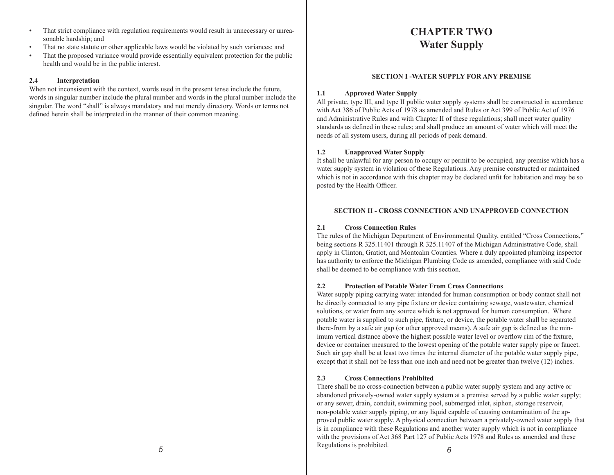- That strict compliance with regulation requirements would result in unnecessary or unreasonable hardship; and
- That no state statute or other applicable laws would be violated by such variances; and
- That the proposed variance would provide essentially equivalent protection for the public health and would be in the public interest.

#### **2.4 Interpretation**

When not inconsistent with the context, words used in the present tense include the future, words in singular number include the plural number and words in the plural number include the singular. The word "shall" is always mandatory and not merely directory. Words or terms not defined herein shall be interpreted in the manner of their common meaning.

# **CHAPTER TWO Water Supply**

# **SECTION I -WATER SUPPLY FOR ANY PREMISE**

#### **1.1 Approved Water Supply**

All private, type III, and type II public water supply systems shall be constructed in accordance with Act 386 of Public Acts of 1978 as amended and Rules or Act 399 of Public Act of 1976 and Administrative Rules and with Chapter II of these regulations; shall meet water quality standards as defined in these rules; and shall produce an amount of water which will meet the needs of all system users, during all periods of peak demand.

#### **1.2 Unapproved Water Supply**

It shall be unlawful for any person to occupy or permit to be occupied, any premise which has a water supply system in violation of these Regulations. Any premise constructed or maintained which is not in accordance with this chapter may be declared unfit for habitation and may be so posted by the Health Officer.

#### **SECTION II - CROSS CONNECTION AND UNAPPROVED CONNECTION**

#### **2.1 Cross Connection Rules**

The rules of the Michigan Department of Environmental Quality, entitled "Cross Connections," being sections R 325.11401 through R 325.11407 of the Michigan Administrative Code, shall apply in Clinton, Gratiot, and Montcalm Counties. Where a duly appointed plumbing inspector has authority to enforce the Michigan Plumbing Code as amended, compliance with said Code shall be deemed to be compliance with this section.

#### **2.2 Protection of Potable Water From Cross Connections**

Water supply piping carrying water intended for human consumption or body contact shall not be directly connected to any pipe fixture or device containing sewage, wastewater, chemical solutions, or water from any source which is not approved for human consumption. Where potable water is supplied to such pipe, fixture, or device, the potable water shall be separated there-from by a safe air gap (or other approved means). A safe air gap is defined as the minimum vertical distance above the highest possible water level or overflow rim of the fixture, device or container measured to the lowest opening of the potable water supply pipe or faucet. Such air gap shall be at least two times the internal diameter of the potable water supply pipe, except that it shall not be less than one inch and need not be greater than twelve (12) inches.

#### **2.3 Cross Connections Prohibited**

There shall be no cross-connection between a public water supply system and any active or abandoned privately-owned water supply system at a premise served by a public water supply; or any sewer, drain, conduit, swimming pool, submerged inlet, siphon, storage reservoir, non-potable water supply piping, or any liquid capable of causing contamination of the approved public water supply. A physical connection between a privately-owned water supply that is in compliance with these Regulations and another water supply which is not in compliance with the provisions of Act 368 Part 127 of Public Acts 1978 and Rules as amended and these Regulations is prohibited. *6*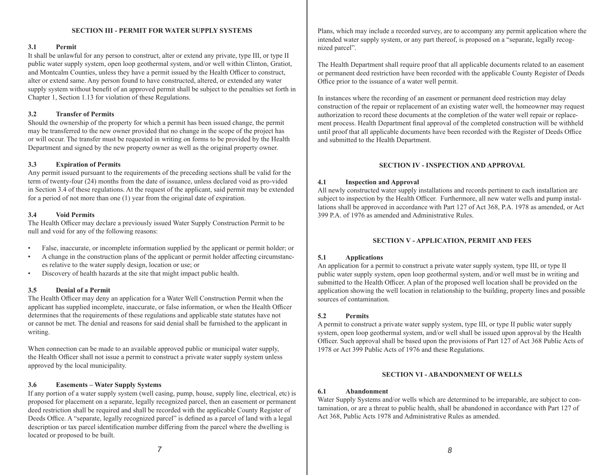#### **SECTION III - PERMIT FOR WATER SUPPLY SYSTEMS**

#### **3.1 Permit**

It shall be unlawful for any person to construct, alter or extend any private, type III, or type II public water supply system, open loop geothermal system, and/or well within Clinton, Gratiot, and Montcalm Counties, unless they have a permit issued by the Health Officer to construct, alter or extend same. Any person found to have constructed, altered, or extended any water supply system without benefit of an approved permit shall be subject to the penalties set forth in Chapter 1, Section 1.13 for violation of these Regulations.

#### **3.2 Transfer of Permits**

Should the ownership of the property for which a permit has been issued change, the permit may be transferred to the new owner provided that no change in the scope of the project has or will occur. The transfer must be requested in writing on forms to be provided by the Health Department and signed by the new property owner as well as the original property owner.

#### **3.3 Expiration of Permits**

Any permit issued pursuant to the requirements of the preceding sections shall be valid for the term of twenty-four (24) months from the date of issuance, unless declared void as pro-vided in Section 3.4 of these regulations. At the request of the applicant, said permit may be extended for a period of not more than one (1) year from the original date of expiration.

#### **3.4 Void Permits**

The Health Officer may declare a previously issued Water Supply Construction Permit to be null and void for any of the following reasons:

- False, inaccurate, or incomplete information supplied by the applicant or permit holder; or
- A change in the construction plans of the applicant or permit holder affecting circumstances relative to the water supply design, location or use; or
- Discovery of health hazards at the site that might impact public health.

#### **3.5 Denial of a Permit**

The Health Officer may deny an application for a Water Well Construction Permit when the applicant has supplied incomplete, inaccurate, or false information, or when the Health Officer determines that the requirements of these regulations and applicable state statutes have not or cannot be met. The denial and reasons for said denial shall be furnished to the applicant in writing.

When connection can be made to an available approved public or municipal water supply, the Health Officer shall not issue a permit to construct a private water supply system unless approved by the local municipality.

#### **3.6 Easements – Water Supply Systems**

If any portion of a water supply system (well casing, pump, house, supply line, electrical, etc) is proposed for placement on a separate, legally recognized parcel, then an easement or permanent deed restriction shall be required and shall be recorded with the applicable County Register of Deeds Office. A "separate, legally recognized parcel" is defined as a parcel of land with a legal description or tax parcel identification number differing from the parcel where the dwelling is located or proposed to be built.

Plans, which may include a recorded survey, are to accompany any permit application where the intended water supply system, or any part thereof, is proposed on a "separate, legally recognized parcel".

The Health Department shall require proof that all applicable documents related to an easement or permanent deed restriction have been recorded with the applicable County Register of Deeds Office prior to the issuance of a water well permit.

In instances where the recording of an easement or permanent deed restriction may delay construction of the repair or replacement of an existing water well, the homeowner may request authorization to record these documents at the completion of the water well repair or replacement process. Health Department final approval of the completed construction will be withheld until proof that all applicable documents have been recorded with the Register of Deeds Office and submitted to the Health Department.

#### **SECTION IV - INSPECTION AND APPROVAL**

#### **4.1 Inspection and Approval**

All newly constructed water supply installations and records pertinent to each installation are subject to inspection by the Health Officer. Furthermore, all new water wells and pump installations shall be approved in accordance with Part 127 of Act 368, P.A. 1978 as amended, or Act 399 P.A. of 1976 as amended and Administrative Rules.

#### **SECTION V - APPLICATION, PERMIT AND FEES**

#### **5.1 Applications**

An application for a permit to construct a private water supply system, type III, or type II public water supply system, open loop geothermal system, and/or well must be in writing and submitted to the Health Officer. A plan of the proposed well location shall be provided on the application showing the well location in relationship to the building, property lines and possible sources of contamination.

#### **5.2 Permits**

A permit to construct a private water supply system, type III, or type II public water supply system, open loop geothermal system, and/or well shall be issued upon approval by the Health Officer. Such approval shall be based upon the provisions of Part 127 of Act 368 Public Acts of 1978 or Act 399 Public Acts of 1976 and these Regulations.

#### **SECTION VI - ABANDONMENT OF WELLS**

#### **6.1 Abandonment**

Water Supply Systems and/or wells which are determined to be irreparable, are subject to contamination, or are a threat to public health, shall be abandoned in accordance with Part 127 of Act 368, Public Acts 1978 and Administrative Rules as amended.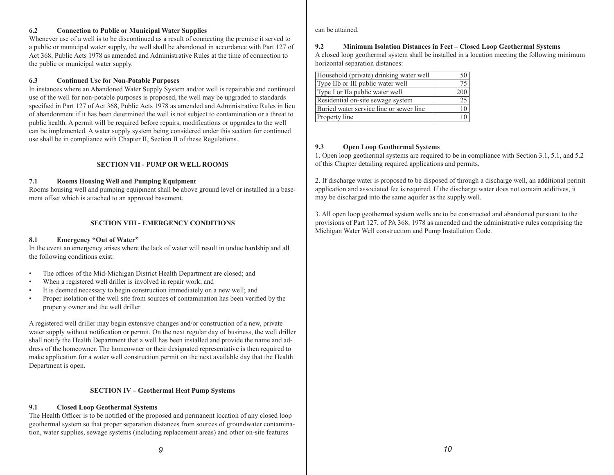#### **6.2 Connection to Public or Municipal Water Supplies**

Whenever use of a well is to be discontinued as a result of connecting the premise it served to a public or municipal water supply, the well shall be abandoned in accordance with Part 127 of Act 368, Public Acts 1978 as amended and Administrative Rules at the time of connection to the public or municipal water supply.

#### **6.3 Continued Use for Non-Potable Purposes**

In instances where an Abandoned Water Supply System and/or well is repairable and continued use of the well for non-potable purposes is proposed, the well may be upgraded to standards specified in Part 127 of Act 368, Public Acts 1978 as amended and Administrative Rules in lieu of abandonment if it has been determined the well is not subject to contamination or a threat to public health. A permit will be required before repairs, modifications or upgrades to the well can be implemented. A water supply system being considered under this section for continued use shall be in compliance with Chapter II, Section II of these Regulations.

#### **SECTION VII - PUMP OR WELL ROOMS**

#### **7.1 Rooms Housing Well and Pumping Equipment**

Rooms housing well and pumping equipment shall be above ground level or installed in a basement offset which is attached to an approved basement.

#### **SECTION VIII - EMERGENCY CONDITIONS**

#### **8.1 Emergency "Out of Water"**

In the event an emergency arises where the lack of water will result in undue hardship and all the following conditions exist:

- The offices of the Mid-Michigan District Health Department are closed; and
- When a registered well driller is involved in repair work; and
- It is deemed necessary to begin construction immediately on a new well; and
- Proper isolation of the well site from sources of contamination has been verified by the property owner and the well driller

A registered well driller may begin extensive changes and/or construction of a new, private water supply without notification or permit. On the next regular day of business, the well driller shall notify the Health Department that a well has been installed and provide the name and address of the homeowner. The homeowner or their designated representative is then required to make application for a water well construction permit on the next available day that the Health Department is open.

#### **SECTION IV – Geothermal Heat Pump Systems**

#### **9.1 Closed Loop Geothermal Systems**

The Health Officer is to be notified of the proposed and permanent location of any closed loop geothermal system so that proper separation distances from sources of groundwater contamination, water supplies, sewage systems (including replacement areas) and other on-site features

can be attained.

### **9.2 Minimum Isolation Distances in Feet – Closed Loop Geothermal Systems**

A closed loop geothermal system shall be installed in a location meeting the following minimum horizontal separation distances:

| Household (private) drinking water well |     |
|-----------------------------------------|-----|
| Type IIb or III public water well       |     |
| Type I or IIa public water well         | 200 |
| Residential on-site sewage system       | 25  |
| Buried water service line or sewer line | 10  |
| Property line                           |     |

#### **9.3 Open Loop Geothermal Systems**

1. Open loop geothermal systems are required to be in compliance with Section 3.1, 5.1, and 5.2 of this Chapter detailing required applications and permits.

2. If discharge water is proposed to be disposed of through a discharge well, an additional permit application and associated fee is required. If the discharge water does not contain additives, it may be discharged into the same aquifer as the supply well.

3. All open loop geothermal system wells are to be constructed and abandoned pursuant to the provisions of Part 127, of PA 368, 1978 as amended and the administrative rules comprising the Michigan Water Well construction and Pump Installation Code.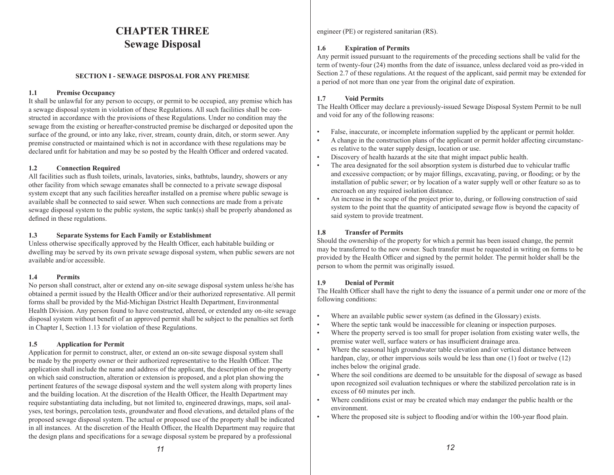# **CHAPTER THREE Sewage Disposal**

#### **SECTION I - SEWAGE DISPOSAL FOR ANY PREMISE**

### **1.1 Premise Occupancy**

It shall be unlawful for any person to occupy, or permit to be occupied, any premise which has a sewage disposal system in violation of these Regulations. All such facilities shall be constructed in accordance with the provisions of these Regulations. Under no condition may the sewage from the existing or hereafter-constructed premise be discharged or deposited upon the surface of the ground, or into any lake, river, stream, county drain, ditch, or storm sewer. Any premise constructed or maintained which is not in accordance with these regulations may be declared unfit for habitation and may be so posted by the Health Officer and ordered vacated.

# **1.2 Connection Required**

All facilities such as flush toilets, urinals, lavatories, sinks, bathtubs, laundry, showers or any other facility from which sewage emanates shall be connected to a private sewage disposal system except that any such facilities hereafter installed on a premise where public sewage is available shall be connected to said sewer. When such connections are made from a private sewage disposal system to the public system, the septic tank(s) shall be properly abandoned as defined in these regulations.

# **1.3 Separate Systems for Each Family or Establishment**

Unless otherwise specifically approved by the Health Officer, each habitable building or dwelling may be served by its own private sewage disposal system, when public sewers are not available and/or accessible.

# **1.4 Permits**

No person shall construct, alter or extend any on-site sewage disposal system unless he/she has obtained a permit issued by the Health Officer and/or their authorized representative. All permit forms shall be provided by the Mid-Michigan District Health Department, Environmental Health Division. Any person found to have constructed, altered, or extended any on-site sewage disposal system without benefit of an approved permit shall be subject to the penalties set forth in Chapter I, Section 1.13 for violation of these Regulations.

# **1.5 Application for Permit**

Application for permit to construct, alter, or extend an on-site sewage disposal system shall be made by the property owner or their authorized representative to the Health Officer. The application shall include the name and address of the applicant, the description of the property on which said construction, alteration or extension is proposed, and a plot plan showing the pertinent features of the sewage disposal system and the well system along with property lines and the building location. At the discretion of the Health Officer, the Health Department may require substantiating data including, but not limited to, engineered drawings, maps, soil analyses, test borings, percolation tests, groundwater and flood elevations, and detailed plans of the proposed sewage disposal system. The actual or proposed use of the property shall be indicated in all instances. At the discretion of the Health Officer, the Health Department may require that the design plans and specifications for a sewage disposal system be prepared by a professional

engineer (PE) or registered sanitarian (RS).

# **1.6 Expiration of Permits**

Any permit issued pursuant to the requirements of the preceding sections shall be valid for the term of twenty-four (24) months from the date of issuance, unless declared void as pro-vided in Section 2.7 of these regulations. At the request of the applicant, said permit may be extended for a period of not more than one year from the original date of expiration.

# **1.7 Void Permits**

The Health Officer may declare a previously-issued Sewage Disposal System Permit to be null and void for any of the following reasons:

- False, inaccurate, or incomplete information supplied by the applicant or permit holder.
- A change in the construction plans of the applicant or permit holder affecting circumstances relative to the water supply design, location or use.
- Discovery of health hazards at the site that might impact public health.
- The area designated for the soil absorption system is disturbed due to vehicular traffic and excessive compaction; or by major fillings, excavating, paving, or flooding; or by the installation of public sewer; or by location of a water supply well or other feature so as to encroach on any required isolation distance.
- An increase in the scope of the project prior to, during, or following construction of said system to the point that the quantity of anticipated sewage flow is beyond the capacity of said system to provide treatment.

# **1.8 Transfer of Permits**

Should the ownership of the property for which a permit has been issued change, the permit may be transferred to the new owner. Such transfer must be requested in writing on forms to be provided by the Health Officer and signed by the permit holder. The permit holder shall be the person to whom the permit was originally issued.

# **1.9 Denial of Permit**

The Health Officer shall have the right to deny the issuance of a permit under one or more of the following conditions:

- Where an available public sewer system (as defined in the Glossary) exists.
- Where the septic tank would be inaccessible for cleaning or inspection purposes.
- Where the property served is too small for proper isolation from existing water wells, the premise water well, surface waters or has insufficient drainage area.
- Where the seasonal high groundwater table elevation and/or vertical distance between hardpan, clay, or other impervious soils would be less than one (1) foot or twelve (12) inches below the original grade.
- Where the soil conditions are deemed to be unsuitable for the disposal of sewage as based upon recognized soil evaluation techniques or where the stabilized percolation rate is in excess of 60 minutes per inch.
- Where conditions exist or may be created which may endanger the public health or the environment.
- Where the proposed site is subject to flooding and/or within the 100-year flood plain.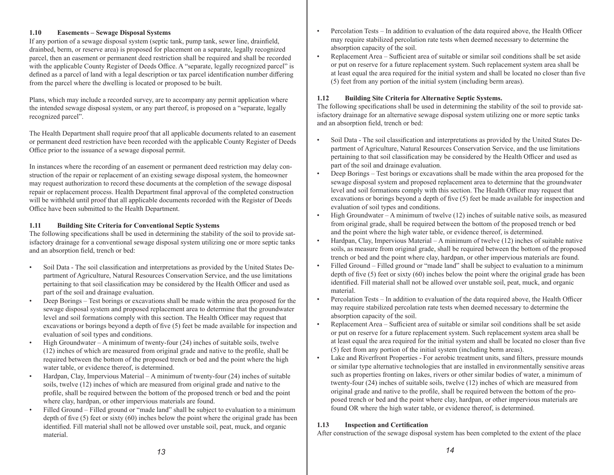#### **1.10 Easements – Sewage Disposal Systems**

If any portion of a sewage disposal system (septic tank, pump tank, sewer line, drainfield, drainbed, berm, or reserve area) is proposed for placement on a separate, legally recognized parcel, then an easement or permanent deed restriction shall be required and shall be recorded with the applicable County Register of Deeds Office. A "separate, legally recognized parcel" is defined as a parcel of land with a legal description or tax parcel identification number differing from the parcel where the dwelling is located or proposed to be built.

Plans, which may include a recorded survey, are to accompany any permit application where the intended sewage disposal system, or any part thereof, is proposed on a "separate, legally recognized parcel".

The Health Department shall require proof that all applicable documents related to an easement or permanent deed restriction have been recorded with the applicable County Register of Deeds Office prior to the issuance of a sewage disposal permit.

In instances where the recording of an easement or permanent deed restriction may delay construction of the repair or replacement of an existing sewage disposal system, the homeowner may request authorization to record these documents at the completion of the sewage disposal repair or replacement process. Health Department final approval of the completed construction will be withheld until proof that all applicable documents recorded with the Register of Deeds Office have been submitted to the Health Department.

#### **1.11 Building Site Criteria for Conventional Septic Systems**

The following specifications shall be used in determining the stability of the soil to provide satisfactory drainage for a conventional sewage disposal system utilizing one or more septic tanks and an absorption field, trench or bed:

- Soil Data The soil classification and interpretations as provided by the United States Department of Agriculture, Natural Resources Conservation Service, and the use limitations pertaining to that soil classification may be considered by the Health Officer and used as part of the soil and drainage evaluation.
- Deep Borings Test borings or excavations shall be made within the area proposed for the sewage disposal system and proposed replacement area to determine that the groundwater level and soil formations comply with this section. The Health Officer may request that excavations or borings beyond a depth of five (5) feet be made available for inspection and evaluation of soil types and conditions.
- High Groundwater A minimum of twenty-four (24) inches of suitable soils, twelve (12) inches of which are measured from original grade and native to the profile, shall be required between the bottom of the proposed trench or bed and the point where the high water table, or evidence thereof, is determined.
- Hardpan, Clay, Impervious Material A minimum of twenty-four (24) inches of suitable soils, twelve (12) inches of which are measured from original grade and native to the profile, shall be required between the bottom of the proposed trench or bed and the point where clay, hardpan, or other impervious materials are found.
- Filled Ground Filled ground or "made land" shall be subject to evaluation to a minimum depth of five (5) feet or sixty (60) inches below the point where the original grade has been identified. Fill material shall not be allowed over unstable soil, peat, muck, and organic material.
- Percolation Tests In addition to evaluation of the data required above, the Health Officer may require stabilized percolation rate tests when deemed necessary to determine the absorption capacity of the soil.
- Replacement Area Sufficient area of suitable or similar soil conditions shall be set aside or put on reserve for a future replacement system. Such replacement system area shall be at least equal the area required for the initial system and shall be located no closer than five (5) feet from any portion of the initial system (including berm areas).

# **1.12 Building Site Criteria for Alternative Septic Systems.**

The following specifications shall be used in determining the stability of the soil to provide satisfactory drainage for an alternative sewage disposal system utilizing one or more septic tanks and an absorption field, trench or bed:

- Soil Data The soil classification and interpretations as provided by the United States Department of Agriculture, Natural Resources Conservation Service, and the use limitations pertaining to that soil classification may be considered by the Health Officer and used as part of the soil and drainage evaluation.
- Deep Borings Test borings or excavations shall be made within the area proposed for the sewage disposal system and proposed replacement area to determine that the groundwater level and soil formations comply with this section. The Health Officer may request that excavations or borings beyond a depth of five (5) feet be made available for inspection and evaluation of soil types and conditions.
- High Groundwater A minimum of twelve (12) inches of suitable native soils, as measured from original grade, shall be required between the bottom of the proposed trench or bed and the point where the high water table, or evidence thereof, is determined.
- Hardpan, Clay, Impervious Material A minimum of twelve (12) inches of suitable native soils, as measure from original grade, shall be required between the bottom of the proposed trench or bed and the point where clay, hardpan, or other impervious materials are found.
- Filled Ground Filled ground or "made land" shall be subject to evaluation to a minimum depth of five (5) feet or sixty (60) inches below the point where the original grade has been identified. Fill material shall not be allowed over unstable soil, peat, muck, and organic material.
- Percolation Tests In addition to evaluation of the data required above, the Health Officer may require stabilized percolation rate tests when deemed necessary to determine the absorption capacity of the soil.
- Replacement Area Sufficient area of suitable or similar soil conditions shall be set aside or put on reserve for a future replacement system. Such replacement system area shall be at least equal the area required for the initial system and shall be located no closer than five (5) feet from any portion of the initial system (including berm areas).
- Lake and Riverfront Properties For aerobic treatment units, sand filters, pressure mounds or similar type alternative technologies that are installed in environmentally sensitive areas such as properties fronting on lakes, rivers or other similar bodies of water, a minimum of twenty-four (24) inches of suitable soils, twelve (12) inches of which are measured from original grade and native to the profile, shall be required between the bottom of the proposed trench or bed and the point where clay, hardpan, or other impervious materials are found OR where the high water table, or evidence thereof, is determined.

# **1.13 Inspection and Certification**

After construction of the sewage disposal system has been completed to the extent of the place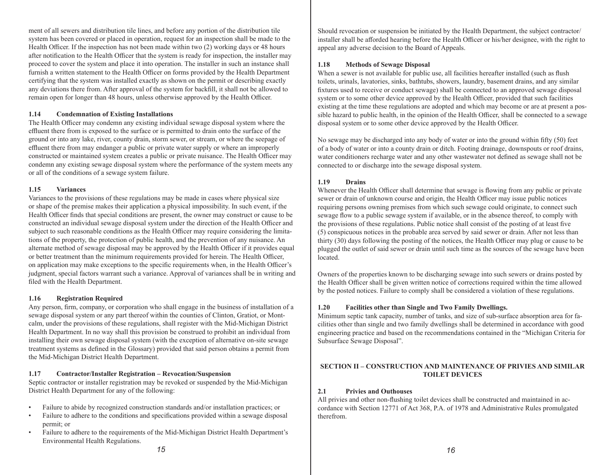ment of all sewers and distribution tile lines, and before any portion of the distribution tile system has been covered or placed in operation, request for an inspection shall be made to the Health Officer. If the inspection has not been made within two (2) working days or 48 hours after notification to the Health Officer that the system is ready for inspection, the installer may proceed to cover the system and place it into operation. The installer in such an instance shall furnish a written statement to the Health Officer on forms provided by the Health Department certifying that the system was installed exactly as shown on the permit or describing exactly any deviations there from. After approval of the system for backfill, it shall not be allowed to remain open for longer than 48 hours, unless otherwise approved by the Health Officer.

#### **1.14 Condemnation of Existing Installations**

The Health Officer may condemn any existing individual sewage disposal system where the effluent there from is exposed to the surface or is permitted to drain onto the surface of the ground or into any lake, river, county drain, storm sewer, or stream, or where the seepage of effluent there from may endanger a public or private water supply or where an improperly constructed or maintained system creates a public or private nuisance. The Health Officer may condemn any existing sewage disposal system where the performance of the system meets any or all of the conditions of a sewage system failure.

#### **1.15 Variances**

Variances to the provisions of these regulations may be made in cases where physical size or shape of the premise makes their application a physical impossibility. In such event, if the Health Officer finds that special conditions are present, the owner may construct or cause to be constructed an individual sewage disposal system under the direction of the Health Officer and subject to such reasonable conditions as the Health Officer may require considering the limitations of the property, the protection of public health, and the prevention of any nuisance. An alternate method of sewage disposal may be approved by the Health Officer if it provides equal or better treatment than the minimum requirements provided for herein. The Health Officer, on application may make exceptions to the specific requirements when, in the Health Officer's judgment, special factors warrant such a variance. Approval of variances shall be in writing and filed with the Health Department.

#### **1.16 Registration Required**

Any person, firm, company, or corporation who shall engage in the business of installation of a sewage disposal system or any part thereof within the counties of Clinton, Gratiot, or Montcalm, under the provisions of these regulations, shall register with the Mid-Michigan District Health Department. In no way shall this provision be construed to prohibit an individual from installing their own sewage disposal system (with the exception of alternative on-site sewage treatment systems as defined in the Glossary) provided that said person obtains a permit from the Mid-Michigan District Health Department.

# **1.17 Contractor/Installer Registration – Revocation/Suspension**

Septic contractor or installer registration may be revoked or suspended by the Mid-Michigan District Health Department for any of the following:

- Failure to abide by recognized construction standards and/or installation practices; or
- Failure to adhere to the conditions and specifications provided within a sewage disposal permit; or
- Failure to adhere to the requirements of the Mid-Michigan District Health Department's Environmental Health Regulations.

Should revocation or suspension be initiated by the Health Department, the subject contractor/ installer shall be afforded hearing before the Health Officer or his/her designee, with the right to appeal any adverse decision to the Board of Appeals.

# **1.18 Methods of Sewage Disposal**

When a sewer is not available for public use, all facilities hereafter installed (such as flush toilets, urinals, lavatories, sinks, bathtubs, showers, laundry, basement drains, and any similar fixtures used to receive or conduct sewage) shall be connected to an approved sewage disposal system or to some other device approved by the Health Officer, provided that such facilities existing at the time these regulations are adopted and which may become or are at present a possible hazard to public health, in the opinion of the Health Officer, shall be connected to a sewage disposal system or to some other device approved by the Health Officer.

No sewage may be discharged into any body of water or into the ground within fifty (50) feet of a body of water or into a county drain or ditch. Footing drainage, downspouts or roof drains, water conditioners recharge water and any other wastewater not defined as sewage shall not be connected to or discharge into the sewage disposal system.

#### **1.19 Drains**

Whenever the Health Officer shall determine that sewage is flowing from any public or private sewer or drain of unknown course and origin, the Health Officer may issue public notices requiring persons owning premises from which such sewage could originate, to connect such sewage flow to a public sewage system if available, or in the absence thereof, to comply with the provisions of these regulations. Public notice shall consist of the posting of at least five (5) conspicuous notices in the probable area served by said sewer or drain. After not less than thirty (30) days following the posting of the notices, the Health Officer may plug or cause to be plugged the outlet of said sewer or drain until such time as the sources of the sewage have been located.

Owners of the properties known to be discharging sewage into such sewers or drains posted by the Health Officer shall be given written notice of corrections required within the time allowed by the posted notices. Failure to comply shall be considered a violation of these regulations.

# **1.20 Facilities other than Single and Two Family Dwellings.**

Minimum septic tank capacity, number of tanks, and size of sub-surface absorption area for facilities other than single and two family dwellings shall be determined in accordance with good engineering practice and based on the recommendations contained in the "Michigan Criteria for Subsurface Sewage Disposal".

#### **SECTION II – CONSTRUCTION AND MAINTENANCE OF PRIVIES AND SIMILAR TOILET DEVICES**

# **2.1 Privies and Outhouses**

All privies and other non-flushing toilet devices shall be constructed and maintained in accordance with Section 12771 of Act 368, P.A. of 1978 and Administrative Rules promulgated therefrom.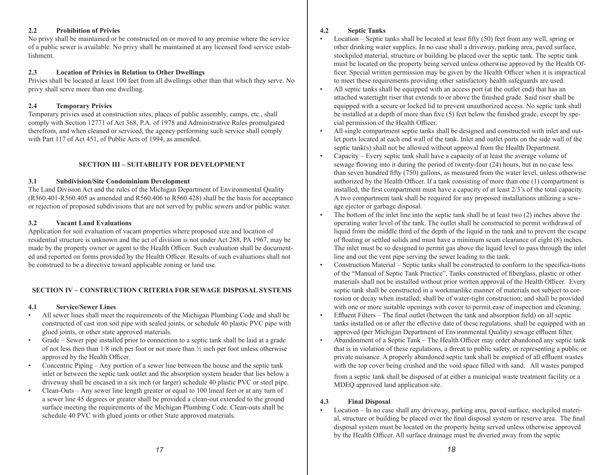#### **2.2 Prohibition of Privies**

No privy shall be maintained or be constructed on or moved to any premise where the service of a public sewer is available. No privy shall be maintained at any licensed food service establishment.

#### **2.3 Location of Privies in Relation to Other Dwellings**

Privies shall be located at least 100 feet from all dwellings other than that which they serve. No privy shall serve more than one dwelling.

# **2.4 Temporary Privies**

Temporary privies used at construction sites, places of public assembly, camps, etc., shall comply with Section 12771 of Act 368, P.A. of 1978 and Administrative Rules promulgated therefrom, and when cleaned or serviced, the agency performing such service shall comply with Part 117 of Act 451, of Public Acts of 1994, as amended.

# **SECTION III – SUITABILITY FOR DEVELOPMENT**

# **3.1 Subdivision/Site Condominium Development**

The Land Division Act and the rules of the Michigan Department of Environmental Quality (R560.401-R560.405 as amended and R560.406 to R560.428) shall be the basis for acceptance or rejection of proposed subdivisions that are not served by public sewers and/or public water.

# **3.2 Vacant Land Evaluations**

Application for soil evaluation of vacant properties where proposed size and location of residential structure is unknown and the act of division is not under Act 288, PA 1967, may be made by the property owner or agent to the Health Officer. Such evaluation shall be documented and reported on forms provided by the Health Officer. Results of such evaluations shall not be construed to be a directive toward applicable zoning or land use.

# **SECTION IV – CONSTRUCTION CRITERIA FOR SEWAGE DISPOSAL SYSTEMS**

- **4.1 Service/Sewer Lines**
- All sewer lines shall meet the requirements of the Michigan Plumbing Code and shall be constructed of cast iron soil pipe with sealed joints, or schedule 40 plastic PVC pipe with glued joints, or other state approved materials.
- Grade Sewer pipe installed prior to connection to a septic tank shall be laid at a grade of not less then than 1/8 inch per foot or not more than ½ inch per foot unless otherwise approved by the Health Officer.
- Concentric Piping Any portion of a sewer line between the house and the septic tank inlet or between the septic tank outlet and the absorption system header that lies below a driveway shall be encased in a six inch (or larger) schedule 40 plastic PVC or steel pipe.
- Clean-Outs Any sewer line length greater or equal to 100 lineal feet or at any turn of a sewer line 45 degrees or greater shall be provided a clean-out extended to the ground surface meeting the requirements of the Michigan Plumbing Code. Clean-outs shall be schedule 40 PVC with glued joints or other State approved materials.

# **4.2 Septic Tanks**

- Location Septic tanks shall be located at least fifty (50) feet from any well, spring or other drinking water supplies. In no case shall a driveway, parking area, paved surface, stockpiled material, structure or building be placed over the septic tank. The septic tank must be located on the property being served unless otherwise approved by the Health Officer. Special written permission may be given by the Health Officer when it is impractical to meet these requirements providing other satisfactory health safeguards are used.
- All septic tanks shall be equipped with an access port (at the outlet end) that has an attached watertight riser that extends to or above the finished grade. Said riser shall be equipped with a secure or locked lid to prevent unauthorized access. No septic tank shall be installed at a depth of more than five (5) feet below the finished grade, except by special permission of the Health Officer.
- All single compartment septic tanks shall be designed and constructed with inlet and outlet ports located at each end wall of the tank. Inlet and outlet ports on the side wall of the septic tank(s) shall not be allowed without approval from the Health Department.
- Capacity Every septic tank shall have a capacity of at least the average volume of sewage flowing into it during the period of twenty-four (24) hours, but in no case less than seven hundred fifty (750) gallons, as measured from the water level, unless otherwise authorized by the Health Officer. If a tank consisting of more than one (1) compartment is installed, the first compartment must have a capacity of at least 2/3's of the total capacity. A two compartment tank shall be required for any proposed installations utilizing a sewage ejector or garbage disposal.
- The bottom of the inlet line into the septic tank shall be at least two  $(2)$  inches above the operating water level of the tank. The outlet shall be constructed to permit withdrawal of liquid from the middle third of the depth of the liquid in the tank and to prevent the escape of floating or settled solids and must have a minimum scum clearance of eight (8) inches. The inlet must be so designed to permit gas above the liquid level to pass through the inlet line and out the vent pipe serving the sewer leading to the tank.
- Construction Material Septic tanks shall be constructed to conform to the specifica-tions of the "Manual of Septic Tank Practice". Tanks constructed of fiberglass, plastic or other materials shall not be installed without prior written approval of the Health Officer. Every septic tank shall be constructed in a workmanlike manner of materials not subject to corrosion or decay when installed; shall be of water-tight construction; and shall be provided with one or more suitable openings with cover to permit ease of inspection and cleaning.
- Effluent Filters The final outlet (between the tank and absorption field) on all septic tanks installed on or after the effective date of these regulations, shall be equipped with an approved (per Michigan Department of Environmental Quality) sewage effluent filter.
- Abandonment of a Septic Tank The Health Officer may order abandoned any septic tank that is in violation of these regulations, a threat to public safety, or representing a public or private nuisance. A properly abandoned septic tank shall be emptied of all effluent wastes with the top cover being crushed and the void space filled with sand. All wastes pumped

from a septic tank shall be disposed of at either a municipal waste treatment facility or a MDEQ approved land application site.

# **4.3 Final Disposal**

• Location – In no case shall any driveway, parking area, paved surface, stockpiled material, structure or building be placed over the final disposal system or reserve area. The final disposal system must be located on the property being served unless otherwise approved by the Health Officer. All surface drainage must be diverted away from the septic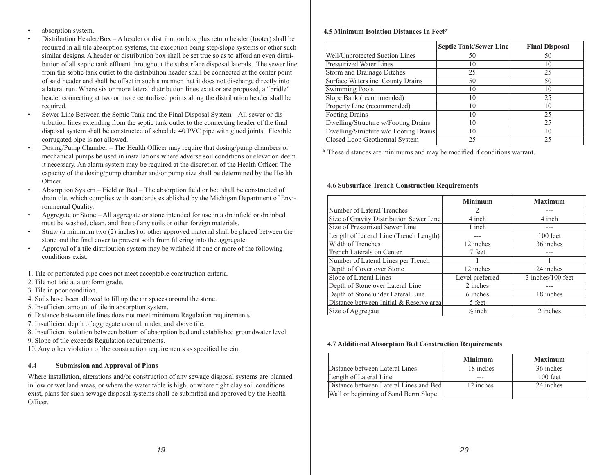- absorption system.
- Distribution Header/Box A header or distribution box plus return header (footer) shall be required in all tile absorption systems, the exception being step/slope systems or other such similar designs. A header or distribution box shall be set true so as to afford an even distribution of all septic tank effluent throughout the subsurface disposal laterals. The sewer line from the septic tank outlet to the distribution header shall be connected at the center point of said header and shall be offset in such a manner that it does not discharge directly into a lateral run. Where six or more lateral distribution lines exist or are proposed, a "bridle" header connecting at two or more centralized points along the distribution header shall be required.
- Sewer Line Between the Septic Tank and the Final Disposal System All sewer or distribution lines extending from the septic tank outlet to the connecting header of the final disposal system shall be constructed of schedule 40 PVC pipe with glued joints. Flexible corrugated pipe is not allowed.
- Dosing/Pump Chamber The Health Officer may require that dosing/pump chambers or mechanical pumps be used in installations where adverse soil conditions or elevation deem it necessary. An alarm system may be required at the discretion of the Health Officer. The capacity of the dosing/pump chamber and/or pump size shall be determined by the Health Officer.
- Absorption System Field or Bed The absorption field or bed shall be constructed of drain tile, which complies with standards established by the Michigan Department of Environmental Quality.
- Aggregate or Stone All aggregate or stone intended for use in a drainfield or drainbed must be washed, clean, and free of any soils or other foreign materials.
- Straw (a minimum two (2) inches) or other approved material shall be placed between the stone and the final cover to prevent soils from filtering into the aggregate.
- Approval of a tile distribution system may be withheld if one or more of the following conditions exist:

1. Tile or perforated pipe does not meet acceptable construction criteria.

- 2. Tile not laid at a uniform grade.
- 3. Tile in poor condition.
- 4. Soils have been allowed to fill up the air spaces around the stone.
- 5. Insufficient amount of tile in absorption system.
- 6. Distance between tile lines does not meet minimum Regulation requirements.
- 7. Insufficient depth of aggregate around, under, and above tile.
- 8. Insufficient isolation between bottom of absorption bed and established groundwater level.
- 9. Slope of tile exceeds Regulation requirements.

10. Any other violation of the construction requirements as specified herein.

# **4.4 Submission and Approval of Plans**

Where installation, alterations and/or construction of any sewage disposal systems are planned in low or wet land areas, or where the water table is high, or where tight clay soil conditions exist, plans for such sewage disposal systems shall be submitted and approved by the Health Officer.

#### **4.5 Minimum Isolation Distances In Feet\***

|                                       | <b>Septic Tank/Sewer Line</b> | <b>Final Disposal</b> |
|---------------------------------------|-------------------------------|-----------------------|
| Well/Unprotected Suction Lines        | 50                            | 50                    |
| <b>Pressurized Water Lines</b>        | 10                            | 10                    |
| Storm and Drainage Ditches            | 25                            | 25                    |
| Surface Waters inc. County Drains     | 50                            | 50                    |
| Swimming Pools                        | 10                            | 10                    |
| Slope Bank (recommended)              | 10                            | 25                    |
| Property Line (recommended)           | 10                            | 10                    |
| <b>Footing Drains</b>                 | 10                            | 25                    |
| Dwelling/Structure w/Footing Drains   | 10                            | 25                    |
| Dwelling/Structure w/o Footing Drains | 10                            | 10                    |
| Closed Loop Geothermal System         | 25                            | 25                    |

\* These distances are minimums and may be modified if conditions warrant.

#### **4.6 Subsurface Trench Construction Requirements**

|                                         | <b>Minimum</b>     | <b>Maximum</b>    |
|-----------------------------------------|--------------------|-------------------|
| Number of Lateral Trenches              | 2                  |                   |
| Size of Gravity Distribution Sewer Line | 4 inch             | 4 inch            |
| Size of Pressurized Sewer Line          | 1 inch             | ---               |
| Length of Lateral Line (Trench Length)  |                    | $100$ feet        |
| Width of Trenches                       | 12 inches          | 36 inches         |
| Trench Laterals on Center               | 7 feet             | ---               |
| Number of Lateral Lines per Trench      |                    |                   |
| Depth of Cover over Stone               | 12 inches          | 24 inches         |
| Slope of Lateral Lines                  | Level preferred    | 3 inches/100 feet |
| Depth of Stone over Lateral Line        | 2 inches           |                   |
| Depth of Stone under Lateral Line       | 6 inches           | 18 inches         |
| Distance between Initial & Reserve area | 5 feet             | ---               |
| Size of Aggregate                       | $\frac{1}{2}$ inch | 2 inches          |

#### **4.7 Additional Absorption Bed Construction Requirements**

|                                        | <b>Minimum</b> | <b>Maximum</b> |
|----------------------------------------|----------------|----------------|
| Distance between Lateral Lines         | 18 inches      | 36 inches      |
| Length of Lateral Line                 |                | $100$ feet     |
| Distance between Lateral Lines and Bed | 12 inches      | 24 inches      |
| Wall or beginning of Sand Berm Slope   |                |                |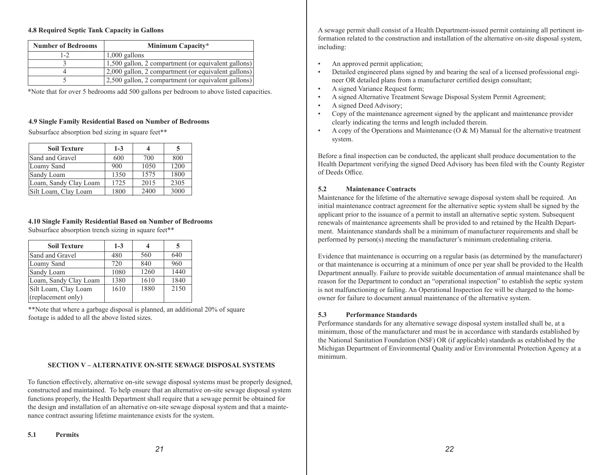#### **4.8 Required Septic Tank Capacity in Gallons**

| <b>Number of Bedrooms</b> | Minimum Capacity*                                   |
|---------------------------|-----------------------------------------------------|
| $1 - 2$                   | $1,000$ gallons                                     |
|                           | 1,500 gallon, 2 compartment (or equivalent gallons) |
|                           | 2,000 gallon, 2 compartment (or equivalent gallons) |
|                           | 2,500 gallon, 2 compartment (or equivalent gallons) |

\*Note that for over 5 bedrooms add 500 gallons per bedroom to above listed capacities.

#### **4.9 Single Family Residential Based on Number of Bedrooms**

Subsurface absorption bed sizing in square feet\*\*

| <b>Soil Texture</b>   | $1 - 3$ |      | 5    |
|-----------------------|---------|------|------|
| Sand and Gravel       | 600     | 700  | 800  |
| Loamy Sand            | 900     | 1050 | 1200 |
| Sandy Loam            | 1350    | 1575 | 1800 |
| Loam, Sandy Clay Loam | 1725    | 2015 | 2305 |
| Silt Loam, Clay Loam  | 1800    | 2400 | 3000 |

#### **4.10 Single Family Residential Based on Number of Bedrooms**

Subsurface absorption trench sizing in square feet\*\*

| <b>Soil Texture</b>   | $1-3$ |      | 5    |
|-----------------------|-------|------|------|
| Sand and Gravel       | 480   | 560  | 640  |
| Loamy Sand            | 720   | 840  | 960  |
| Sandy Loam            | 1080  | 1260 | 1440 |
| Loam, Sandy Clay Loam | 1380  | 1610 | 1840 |
| Silt Loam, Clay Loam  | 1610  | 1880 | 2150 |
| (replacement only)    |       |      |      |

\*\*Note that where a garbage disposal is planned, an additional 20% of square footage is added to all the above listed sizes.

#### **SECTION V – ALTERNATIVE ON-SITE SEWAGE DISPOSAL SYSTEMS**

To function effectively, alternative on-site sewage disposal systems must be properly designed, constructed and maintained. To help ensure that an alternative on-site sewage disposal system functions properly, the Health Department shall require that a sewage permit be obtained for the design and installation of an alternative on-site sewage disposal system and that a maintenance contract assuring lifetime maintenance exists for the system.

- An approved permit application;
- Detailed engineered plans signed by and bearing the seal of a licensed professional engineer OR detailed plans from a manufacturer certified design consultant;
- A signed Variance Request form;
- A signed Alternative Treatment Sewage Disposal System Permit Agreement;
- A signed Deed Advisory;
- Copy of the maintenance agreement signed by the applicant and maintenance provider clearly indicating the terms and length included therein.
- A copy of the Operations and Maintenance  $(O & M)$  Manual for the alternative treatment system.

Before a final inspection can be conducted, the applicant shall produce documentation to the Health Department verifying the signed Deed Advisory has been filed with the County Register of Deeds Office.

#### **5.2 Maintenance Contracts**

Maintenance for the lifetime of the alternative sewage disposal system shall be required. An initial maintenance contract agreement for the alternative septic system shall be signed by the applicant prior to the issuance of a permit to install an alternative septic system. Subsequent renewals of maintenance agreements shall be provided to and retained by the Health Department. Maintenance standards shall be a minimum of manufacturer requirements and shall be performed by person(s) meeting the manufacturer's minimum credentialing criteria.

Evidence that maintenance is occurring on a regular basis (as determined by the manufacturer) or that maintenance is occurring at a minimum of once per year shall be provided to the Health Department annually. Failure to provide suitable documentation of annual maintenance shall be reason for the Department to conduct an "operational inspection" to establish the septic system is not malfunctioning or failing. An Operational Inspection fee will be charged to the homeowner for failure to document annual maintenance of the alternative system.

#### **5.3 Performance Standards**

Performance standards for any alternative sewage disposal system installed shall be, at a minimum, those of the manufacturer and must be in accordance with standards established by the National Sanitation Foundation (NSF) OR (if applicable) standards as established by the Michigan Department of Environmental Quality and/or Environmental Protection Agency at a minimum.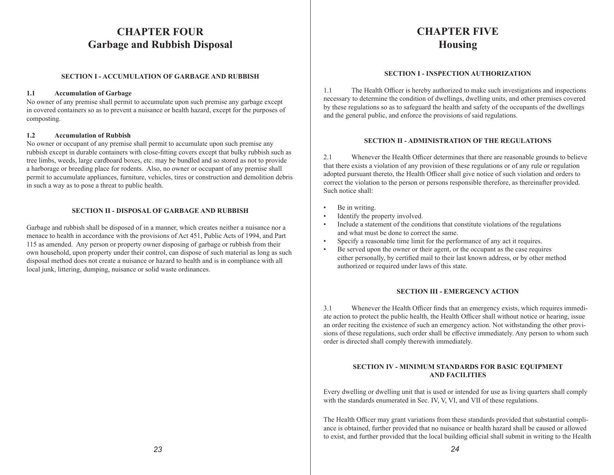# **CHAPTER FOUR Garbage and Rubbish Disposal**

# **SECTION I - ACCUMULATION OF GARBAGE AND RUBBISH**

#### **1.1 Accumulation of Garbage**

No owner of any premise shall permit to accumulate upon such premise any garbage except in covered containers so as to prevent a nuisance or health hazard, except for the purposes of composting.

#### **1.2 Accumulation of Rubbish**

No owner or occupant of any premise shall permit to accumulate upon such premise any rubbish except in durable containers with close-fitting covers except that bulky rubbish such as tree limbs, weeds, large cardboard boxes, etc. may be bundled and so stored as not to provide a harborage or breeding place for rodents. Also, no owner or occupant of any premise shall permit to accumulate appliances, furniture, vehicles, tires or construction and demolition debris in such a way as to pose a threat to public health.

#### **SECTION II - DISPOSAL OF GARBAGE AND RUBBISH**

Garbage and rubbish shall be disposed of in a manner, which creates neither a nuisance nor a menace to health in accordance with the provisions of Act 451, Public Acts of 1994, and Part 115 as amended. Any person or property owner disposing of garbage or rubbish from their own household, upon property under their control, can dispose of such material as long as such disposal method does not create a nuisance or hazard to health and is in compliance with all local junk, littering, dumping, nuisance or solid waste ordinances.

# **CHAPTER FIVE Housing**

#### **SECTION I - INSPECTION AUTHORIZATION**

1.1 The Health Officer is hereby authorized to make such investigations and inspections necessary to determine the condition of dwellings, dwelling units, and other premises covered by these regulations so as to safeguard the health and safety of the occupants of the dwellings and the general public, and enforce the provisions of said regulations.

#### **SECTION II - ADMINISTRATION OF THE REGULATIONS**

2.1 Whenever the Health Officer determines that there are reasonable grounds to believe that there exists a violation of any provision of these regulations or of any rule or regulation adopted pursuant thereto, the Health Officer shall give notice of such violation and orders to correct the violation to the person or persons responsible therefore, as thereinafter provided. Such notice shall:

- Be in writing.
- Identify the property involved.
- Include a statement of the conditions that constitute violations of the regulations and what must be done to correct the same.
- Specify a reasonable time limit for the performance of any act it requires.
- Be served upon the owner or their agent, or the occupant as the case requires either personally, by certified mail to their last known address, or by other method authorized or required under laws of this state.

#### **SECTION III - EMERGENCY ACTION**

3.1 Whenever the Health Officer finds that an emergency exists, which requires immediate action to protect the public health, the Health Officer shall without notice or hearing, issue an order reciting the existence of such an emergency action. Not withstanding the other provisions of these regulations, such order shall be effective immediately. Any person to whom such order is directed shall comply therewith immediately.

#### **SECTION IV - MINIMUM STANDARDS FOR BASIC EQUIPMENT AND FACILITIES**

Every dwelling or dwelling unit that is used or intended for use as living quarters shall comply with the standards enumerated in Sec. IV, V, VI, and VII of these regulations.

The Health Officer may grant variations from these standards provided that substantial compliance is obtained, further provided that no nuisance or health hazard shall be caused or allowed to exist, and further provided that the local building official shall submit in writing to the Health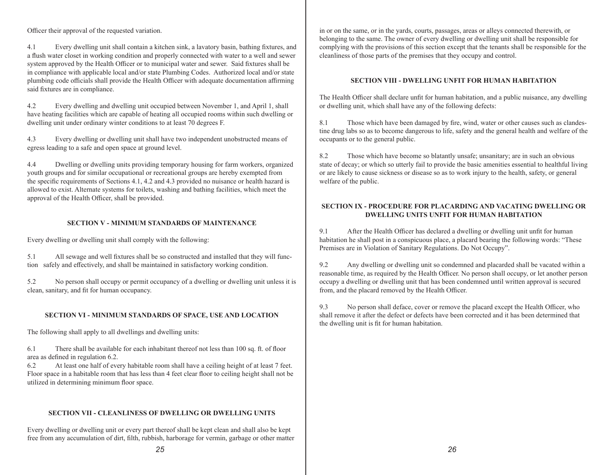Officer their approval of the requested variation.

4.1 Every dwelling unit shall contain a kitchen sink, a lavatory basin, bathing fixtures, and a flush water closet in working condition and properly connected with water to a well and sewer system approved by the Health Officer or to municipal water and sewer. Said fixtures shall be in compliance with applicable local and/or state Plumbing Codes. Authorized local and/or state plumbing code officials shall provide the Health Officer with adequate documentation affirming said fixtures are in compliance.

4.2 Every dwelling and dwelling unit occupied between November 1, and April 1, shall have heating facilities which are capable of heating all occupied rooms within such dwelling or dwelling unit under ordinary winter conditions to at least 70 degrees F.

4.3 Every dwelling or dwelling unit shall have two independent unobstructed means of egress leading to a safe and open space at ground level.

4.4 Dwelling or dwelling units providing temporary housing for farm workers, organized youth groups and for similar occupational or recreational groups are hereby exempted from the specific requirements of Sections 4.1, 4.2 and 4.3 provided no nuisance or health hazard is allowed to exist. Alternate systems for toilets, washing and bathing facilities, which meet the approval of the Health Officer, shall be provided.

#### **SECTION V - MINIMUM STANDARDS OF MAINTENANCE**

Every dwelling or dwelling unit shall comply with the following:

5.1 All sewage and well fixtures shall be so constructed and installed that they will function safely and effectively, and shall be maintained in satisfactory working condition.

5.2 No person shall occupy or permit occupancy of a dwelling or dwelling unit unless it is clean, sanitary, and fit for human occupancy.

#### **SECTION VI - MINIMUM STANDARDS OF SPACE, USE AND LOCATION**

The following shall apply to all dwellings and dwelling units:

6.1 There shall be available for each inhabitant thereof not less than 100 sq. ft. of floor area as defined in regulation 6.2.

6.2 At least one half of every habitable room shall have a ceiling height of at least 7 feet. Floor space in a habitable room that has less than 4 feet clear floor to ceiling height shall not be utilized in determining minimum floor space.

#### **SECTION VII - CLEANLINESS OF DWELLING OR DWELLING UNITS**

Every dwelling or dwelling unit or every part thereof shall be kept clean and shall also be kept free from any accumulation of dirt, filth, rubbish, harborage for vermin, garbage or other matter in or on the same, or in the yards, courts, passages, areas or alleys connected therewith, or belonging to the same. The owner of every dwelling or dwelling unit shall be responsible for complying with the provisions of this section except that the tenants shall be responsible for the cleanliness of those parts of the premises that they occupy and control.

#### **SECTION VIII - DWELLING UNFIT FOR HUMAN HABITATION**

The Health Officer shall declare unfit for human habitation, and a public nuisance, any dwelling or dwelling unit, which shall have any of the following defects:

8.1 Those which have been damaged by fire, wind, water or other causes such as clandestine drug labs so as to become dangerous to life, safety and the general health and welfare of the occupants or to the general public.

8.2 Those which have become so blatantly unsafe; unsanitary; are in such an obvious state of decay; or which so utterly fail to provide the basic amenities essential to healthful living or are likely to cause sickness or disease so as to work injury to the health, safety, or general welfare of the public.

#### **SECTION IX - PROCEDURE FOR PLACARDING AND VACATING DWELLING OR DWELLING UNITS UNFIT FOR HUMAN HABITATION**

9.1 After the Health Officer has declared a dwelling or dwelling unit unfit for human habitation he shall post in a conspicuous place, a placard bearing the following words: "These Premises are in Violation of Sanitary Regulations. Do Not Occupy".

9.2 Any dwelling or dwelling unit so condemned and placarded shall be vacated within a reasonable time, as required by the Health Officer. No person shall occupy, or let another person occupy a dwelling or dwelling unit that has been condemned until written approval is secured from, and the placard removed by the Health Officer.

9.3 No person shall deface, cover or remove the placard except the Health Officer, who shall remove it after the defect or defects have been corrected and it has been determined that the dwelling unit is fit for human habitation.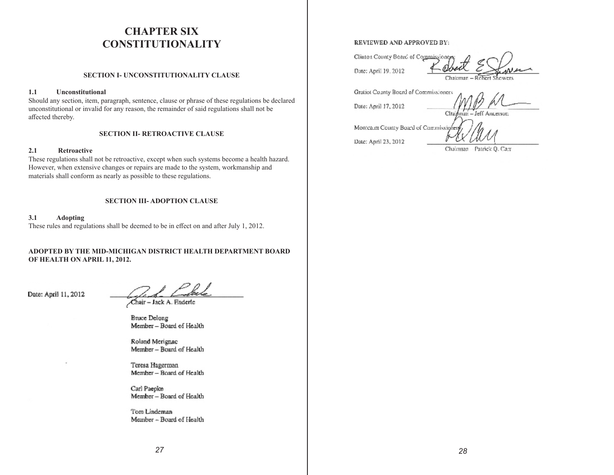# **CHAPTER SIX CONSTITUTIONALITY**

#### **SECTION I- UNCONSTITUTIONALITY CLAUSE**

#### **1.1 Unconstitutional**

Should any section, item, paragraph, sentence, clause or phrase of these regulations be declared unconstitutional or invalid for any reason, the remainder of said regulations shall not be affected thereby.

#### **SECTION II- RETROACTIVE CLAUSE**

#### **2.1 Retroactive**

These regulations shall not be retroactive, except when such systems become a health hazard. However, when extensive changes or repairs are made to the system, workmanship and materials shall conform as nearly as possible to these regulations.

#### **SECTION III- ADOPTION CLAUSE**

**3.1 Adopting** These rules and regulations shall be deemed to be in effect on and after July 1, 2012.

**ADOPTED BY THE MID-MICHIGAN DISTRICT HEALTH DEPARTMENT BOARD OF HEALTH ON APRIL 11, 2012.**

Date: April 11, 2012

Chair - Jack A. Enderfe

**Bruce Delong** Member - Board of Health

Roland Merignac Member - Board of Health

Teresa Hagerman Member - Board of Health

Carl Paepke Member - Board of Health

Tom Lindeman Member - Board of Health

#### REVIEWED AND APPROVED BY:

Gratiot County Board of Commissioners

Date: April 19, 2012

Clinton County Board of Commissione Chairman - Robert **Insurance** 

**TEET!** 

Cltai

Date: April 17, 2012

Montea.m County Board of Commissione Date: April 23, 2012

Jeff Ancerson

Chairman Patrick O. Carr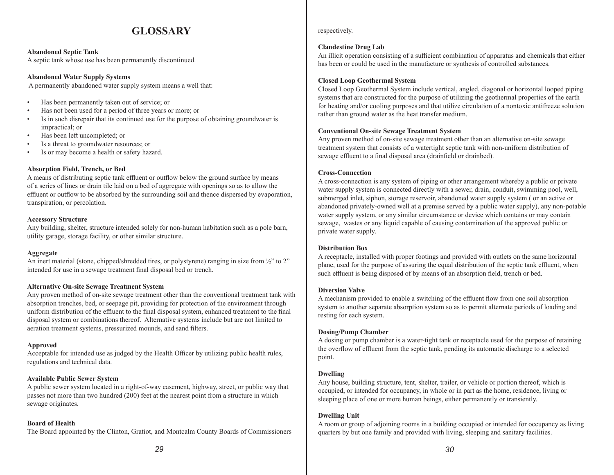# **GLOSSARY**

#### **Abandoned Septic Tank**

A septic tank whose use has been permanently discontinued.

#### **Abandoned Water Supply Systems**

A permanently abandoned water supply system means a well that:

- Has been permanently taken out of service; or
- Has not been used for a period of three years or more; or
- Is in such disrepair that its continued use for the purpose of obtaining groundwater is impractical; or
- Has been left uncompleted; or
- Is a threat to groundwater resources; or
- Is or may become a health or safety hazard.

#### **Absorption Field, Trench, or Bed**

A means of distributing septic tank effluent or outflow below the ground surface by means of a series of lines or drain tile laid on a bed of aggregate with openings so as to allow the effluent or outflow to be absorbed by the surrounding soil and thence dispersed by evaporation, transpiration, or percolation.

#### **Accessory Structure**

Any building, shelter, structure intended solely for non-human habitation such as a pole barn, utility garage, storage facility, or other similar structure.

#### **Aggregate**

An inert material (stone, chipped/shredded tires, or polystyrene) ranging in size from  $\frac{1}{2}$ " to 2" intended for use in a sewage treatment final disposal bed or trench.

#### **Alternative On-site Sewage Treatment System**

Any proven method of on-site sewage treatment other than the conventional treatment tank with absorption trenches, bed, or seepage pit, providing for protection of the environment through uniform distribution of the effluent to the final disposal system, enhanced treatment to the final disposal system or combinations thereof. Alternative systems include but are not limited to aeration treatment systems, pressurized mounds, and sand filters.

#### **Approved**

Acceptable for intended use as judged by the Health Officer by utilizing public health rules, regulations and technical data.

#### **Available Public Sewer System**

A public sewer system located in a right-of-way easement, highway, street, or public way that passes not more than two hundred (200) feet at the nearest point from a structure in which sewage originates.

#### **Board of Health**

The Board appointed by the Clinton, Gratiot, and Montcalm County Boards of Commissioners

#### respectively.

#### **Clandestine Drug Lab**

An illicit operation consisting of a sufficient combination of apparatus and chemicals that either has been or could be used in the manufacture or synthesis of controlled substances.

#### **Closed Loop Geothermal System**

Closed Loop Geothermal System include vertical, angled, diagonal or horizontal looped piping systems that are constructed for the purpose of utilizing the geothermal properties of the earth for heating and/or cooling purposes and that utilize circulation of a nontoxic antifreeze solution rather than ground water as the heat transfer medium.

#### **Conventional On-site Sewage Treatment System**

Any proven method of on-site sewage treatment other than an alternative on-site sewage treatment system that consists of a watertight septic tank with non-uniform distribution of sewage effluent to a final disposal area (drainfield or drainbed).

#### **Cross-Connection**

A cross-connection is any system of piping or other arrangement whereby a public or private water supply system is connected directly with a sewer, drain, conduit, swimming pool, well, submerged inlet, siphon, storage reservoir, abandoned water supply system ( or an active or abandoned privately-owned well at a premise served by a public water supply), any non-potable water supply system, or any similar circumstance or device which contains or may contain sewage, wastes or any liquid capable of causing contamination of the approved public or private water supply.

#### **Distribution Box**

A receptacle, installed with proper footings and provided with outlets on the same horizontal plane, used for the purpose of assuring the equal distribution of the septic tank effluent, when such effluent is being disposed of by means of an absorption field, trench or bed.

#### **Diversion Valve**

A mechanism provided to enable a switching of the effluent flow from one soil absorption system to another separate absorption system so as to permit alternate periods of loading and resting for each system.

#### **Dosing/Pump Chamber**

A dosing or pump chamber is a water-tight tank or receptacle used for the purpose of retaining the overflow of effluent from the septic tank, pending its automatic discharge to a selected point.

#### **Dwelling**

Any house, building structure, tent, shelter, trailer, or vehicle or portion thereof, which is occupied, or intended for occupancy, in whole or in part as the home, residence, living or sleeping place of one or more human beings, either permanently or transiently.

#### **Dwelling Unit**

A room or group of adjoining rooms in a building occupied or intended for occupancy as living quarters by but one family and provided with living, sleeping and sanitary facilities.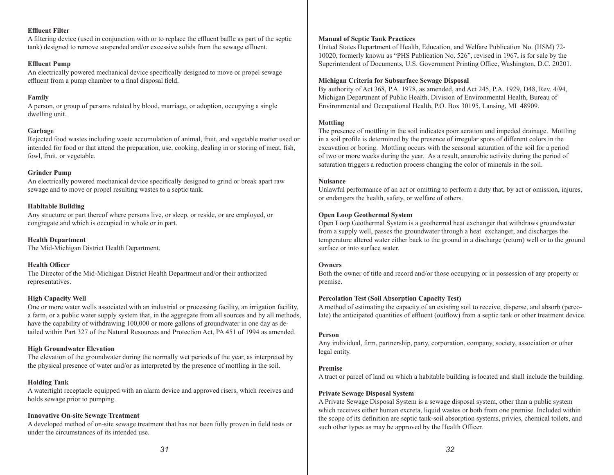#### **Effluent Filter**

A filtering device (used in conjunction with or to replace the effluent baffle as part of the septic tank) designed to remove suspended and/or excessive solids from the sewage effluent.

#### **Effluent Pump**

An electrically powered mechanical device specifically designed to move or propel sewage effluent from a pump chamber to a final disposal field.

#### **Family**

A person, or group of persons related by blood, marriage, or adoption, occupying a single dwelling unit.

#### **Garbage**

Rejected food wastes including waste accumulation of animal, fruit, and vegetable matter used or intended for food or that attend the preparation, use, cooking, dealing in or storing of meat, fish, fowl, fruit, or vegetable.

#### **Grinder Pump**

An electrically powered mechanical device specifically designed to grind or break apart raw sewage and to move or propel resulting wastes to a septic tank.

#### **Habitable Building**

Any structure or part thereof where persons live, or sleep, or reside, or are employed, or congregate and which is occupied in whole or in part.

**Health Department** The Mid-Michigan District Health Department.

#### **Health Officer**

The Director of the Mid-Michigan District Health Department and/or their authorized representatives.

#### **High Capacity Well**

One or more water wells associated with an industrial or processing facility, an irrigation facility, a farm, or a public water supply system that, in the aggregate from all sources and by all methods, have the capability of withdrawing 100,000 or more gallons of groundwater in one day as detailed within Part 327 of the Natural Resources and Protection Act, PA 451 of 1994 as amended.

#### **High Groundwater Elevation**

The elevation of the groundwater during the normally wet periods of the year, as interpreted by the physical presence of water and/or as interpreted by the presence of mottling in the soil.

#### **Holding Tank**

A watertight receptacle equipped with an alarm device and approved risers, which receives and holds sewage prior to pumping.

#### **Innovative On-site Sewage Treatment**

A developed method of on-site sewage treatment that has not been fully proven in field tests or under the circumstances of its intended use.

### **Manual of Septic Tank Practices**

United States Department of Health, Education, and Welfare Publication No. (HSM) 72- 10020, formerly known as "PHS Publication No. 526", revised in 1967, is for sale by the Superintendent of Documents, U.S. Government Printing Office, Washington, D.C. 20201.

#### **Michigan Criteria for Subsurface Sewage Disposal**

By authority of Act 368, P.A. 1978, as amended, and Act 245, P.A. 1929, D48, Rev. 4/94, Michigan Department of Public Health, Division of Environmental Health, Bureau of Environmental and Occupational Health, P.O. Box 30195, Lansing, MI 48909.

#### **Mottling**

The presence of mottling in the soil indicates poor aeration and impeded drainage. Mottling in a soil profile is determined by the presence of irregular spots of different colors in the excavation or boring. Mottling occurs with the seasonal saturation of the soil for a period of two or more weeks during the year. As a result, anaerobic activity during the period of saturation triggers a reduction process changing the color of minerals in the soil.

#### **Nuisance**

Unlawful performance of an act or omitting to perform a duty that, by act or omission, injures, or endangers the health, safety, or welfare of others.

#### **Open Loop Geothermal System**

Open Loop Geothermal System is a geothermal heat exchanger that withdraws groundwater from a supply well, passes the groundwater through a heat exchanger, and discharges the temperature altered water either back to the ground in a discharge (return) well or to the ground surface or into surface water.

#### **Owners**

Both the owner of title and record and/or those occupying or in possession of any property or premise.

#### **Percolation Test (Soil Absorption Capacity Test)**

A method of estimating the capacity of an existing soil to receive, disperse, and absorb (percolate) the anticipated quantities of effluent (outflow) from a septic tank or other treatment device.

#### **Person**

Any individual, firm, partnership, party, corporation, company, society, association or other legal entity.

#### **Premise**

A tract or parcel of land on which a habitable building is located and shall include the building.

#### **Private Sewage Disposal System**

A Private Sewage Disposal System is a sewage disposal system, other than a public system which receives either human excreta, liquid wastes or both from one premise. Included within the scope of its definition are septic tank-soil absorption systems, privies, chemical toilets, and such other types as may be approved by the Health Officer.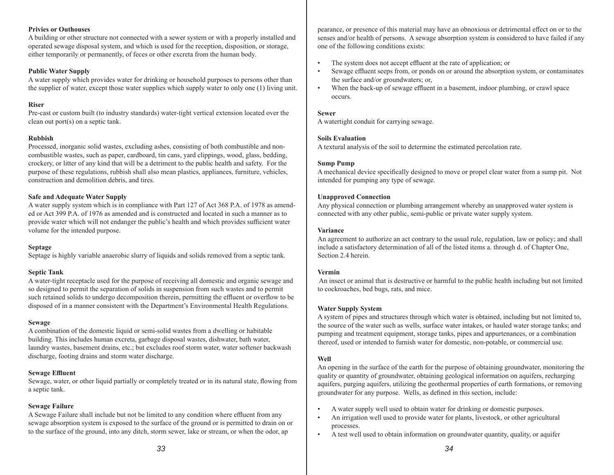#### **Privies or Outhouses**

A building or other structure not connected with a sewer system or with a properly installed and operated sewage disposal system, and which is used for the reception, disposition, or storage, either temporarily or permanently, of feces or other excreta from the human body.

#### **Public Water Supply**

A water supply which provides water for drinking or household purposes to persons other than the supplier of water, except those water supplies which supply water to only one (1) living unit.

# **Riser**

Pre-cast or custom built (to industry standards) water-tight vertical extension located over the clean out port(s) on a septic tank.

# **Rubbish**

Processed, inorganic solid wastes, excluding ashes, consisting of both combustible and noncombustible wastes, such as paper, cardboard, tin cans, yard clippings, wood, glass, bedding, crockery, or litter of any kind that will be a detriment to the public health and safety. For the purpose of these regulations, rubbish shall also mean plastics, appliances, furniture, vehicles, construction and demolition debris, and tires.

#### **Safe and Adequate Water Supply**

A water supply system which is in compliance with Part 127 of Act 368 P.A. of 1978 as amended or Act 399 P.A. of 1976 as amended and is constructed and located in such a manner as to provide water which will not endanger the public's health and which provides sufficient water volume for the intended purpose.

#### **Septage**

Septage is highly variable anaerobic slurry of liquids and solids removed from a septic tank.

#### **Septic Tank**

A water-tight receptacle used for the purpose of receiving all domestic and organic sewage and so designed to permit the separation of solids in suspension from such wastes and to permit such retained solids to undergo decomposition therein, permitting the effluent or overflow to be disposed of in a manner consistent with the Department's Environmental Health Regulations.

#### **Sewage**

A combination of the domestic liquid or semi-solid wastes from a dwelling or habitable building. This includes human excreta, garbage disposal wastes, dishwater, bath water, laundry wastes, basement drains, etc.; but excludes roof storm water, water softener backwash discharge, footing drains and storm water discharge.

#### **Sewage Effluent**

Sewage, water, or other liquid partially or completely treated or in its natural state, flowing from a septic tank.

#### **Sewage Failure**

A Sewage Failure shall include but not be limited to any condition where effluent from any sewage absorption system is exposed to the surface of the ground or is permitted to drain on or to the surface of the ground, into any ditch, storm sewer, lake or stream, or when the odor, ap

pearance, or presence of this material may have an obnoxious or detrimental effect on or to the senses and/or health of persons. A sewage absorption system is considered to have failed if any one of the following conditions exists:

- The system does not accept effluent at the rate of application; or
- Sewage effluent seeps from, or ponds on or around the absorption system, or contaminates the surface and/or groundwaters; or,
- When the back-up of sewage effluent in a basement, indoor plumbing, or crawl space occurs.

#### **Sewer**

A watertight conduit for carrying sewage.

#### **Soils Evaluation**

A textural analysis of the soil to determine the estimated percolation rate.

#### **Sump Pump**

A mechanical device specifically designed to move or propel clear water from a sump pit. Not intended for pumping any type of sewage.

#### **Unapproved Connection**

Any physical connection or plumbing arrangement whereby an unapproved water system is connected with any other public, semi-public or private water supply system.

#### **Variance**

An agreement to authorize an act contrary to the usual rule, regulation, law or policy; and shall include a satisfactory determination of all of the listed items a. through d. of Chapter One, Section 2.4 herein.

#### **Vermin**

 An insect or animal that is destructive or harmful to the public health including but not limited to cockroaches, bed bugs, rats, and mice.

#### **Water Supply System**

A system of pipes and structures through which water is obtained, including but not limited to, the source of the water such as wells, surface water intakes, or hauled water storage tanks; and pumping and treatment equipment, storage tanks, pipes and appurtenances, or a combination thereof, used or intended to furnish water for domestic, non-potable, or commercial use.

# **Well**

An opening in the surface of the earth for the purpose of obtaining groundwater, monitoring the quality or quantity of groundwater, obtaining geological information on aquifers, recharging aquifers, purging aquifers, utilizing the geothermal properties of earth formations, or removing groundwater for any purpose. Wells, as defined in this section, include:

- A water supply well used to obtain water for drinking or domestic purposes.
- An irrigation well used to provide water for plants, livestock, or other agricultural processes.
- A test well used to obtain information on groundwater quantity, quality, or aquifer